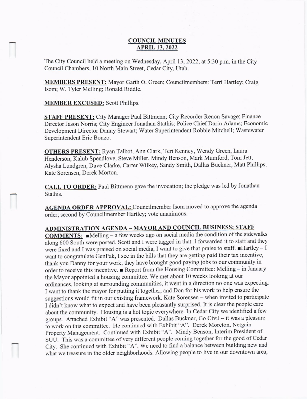## COUNCIL MINUTES APRIL 13.2022

The City Council held a meeting on Wednesday, April 13, 2022, at 5:30 p.m. in the City Council Chambers, 10 North Main Street, Cedar City, Utah.

**MEMBERS PRESENT:** Mayor Garth O. Green; Councilmembers: Terri Hartley; Craig Isom; W. Tyler Melling; Ronald Riddle.

**MEMBER EXCUSED:** Scott Phillips.

STAFF PRESENT: City Manager Paul Bittmenn; City Recorder Renon Savage; Finance Director Jason Norris; City Engineer Jonathan Stathis; Police Chief Darin Adams; Economic Development Director Danny Stewart; Water Superintendent Robbie Mitchell; Wastewater Superintendent Eric Bonzo.

OTHERS PRESENT: Ryan Talbot, Ann Clark, Teri Kenney, Wendy Green, Laura Henderson, Kalub Spendlove, Steve Miller, Mindy Benson, Mark Mumford, Tom Jett, Alysha Lundgren, Dave Clarke, Carter Wilkey, Sandy Smith, Dallas Buckner, Matt Phillips' Kate Sorensen, Derek Morton.

CALL TO ORDER: Paul Bittmenn gave the invocation; the pledge was led by Jonathan Stathis.

AGENDA ORDER APPROVAL: Councilmember Isom moved to approve the agenda order; second by Councilmember Hartley; vote unanimous

## ADMINISTRATION AGENDA - MAYOR AND COUNCIL BUSINESS; STAFF

**COMMENTS:**  $\blacksquare$ Melling - a few weeks ago on social media the condition of the sidewalks along 600 South were posted. Scott and I were tagged in that. I forwarded it to staffand they were fixed and I was praised on social media, I want to give that praise to staff. Hartley - I want to congratulate GenPak, I see in the bills that they are getting paid their tax incentive, thank you Danny for your work, they have brought good paying jobs to our community in order to receive this incentive. Report from the Housing Committee: Melling - in January the Mayor appointed a housing committee. We met about 10 weeks looking at our ordinances, looking at surrounding communities, it went in a direction no one was expecting. I want to thank the mayor for putting it together, and Don for his work to help ensure the suggestions would fit in our existing framework. Kate Sorensen - when invited to participate I didn't know what to expect and have been pleasantly surprised. It is clear the people care about the community. Housing is a hot topic everywhere. In Cedar City we identified a few groups. Attached Exhibit "A" was presented. Dallas Buckner, Go Civil - it was a pleasure to work on this committee. He continued with Exhibit "A". Derek Moreton, Netgain property Management. Continued with Exhibit "A''. Mindy Benson, Interim President of SUU. This was a committee of very different people coming together for the good of Cedar city. She continued with Exhibit "A". we need to find a balance between building new and what we treasure in the older neighborhoods. Allowing people to live in our downtown area,